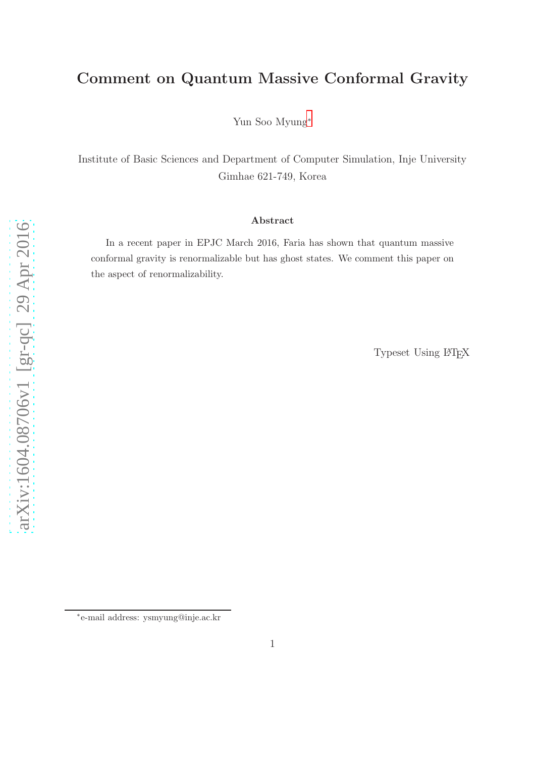## Comment on Quantum Massive Conformal Gravity

Yun Soo Myung[∗](#page-0-0)

Institute of Basic Sciences and Department of Computer Simulation, Inje University Gimhae 621-749, Korea

## Abstract

In a recent paper in EPJC March 2016, Faria has shown that quantum massive conformal gravity is renormalizable but has ghost states. We comment this paper on the aspect of renormalizability.

Typeset Using LAT<sub>EX</sub>

<span id="page-0-0"></span><sup>∗</sup> e-mail address: ysmyung@inje.ac.kr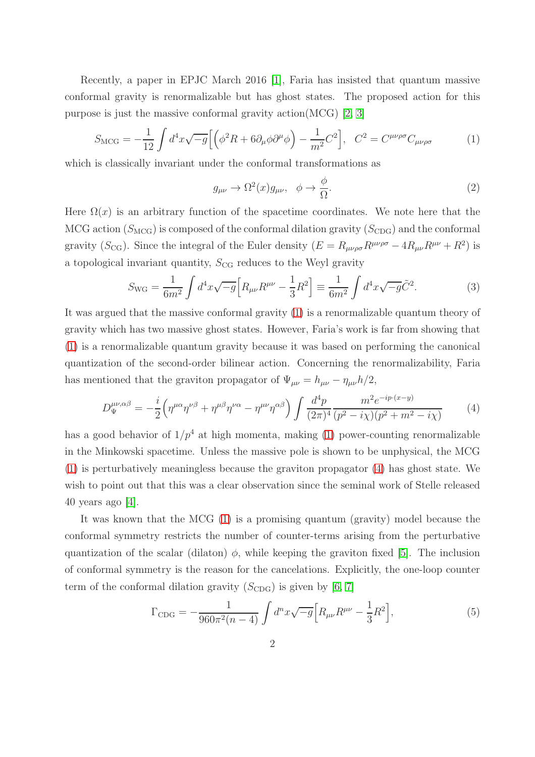Recently, a paper in EPJC March 2016 [\[1\]](#page-3-0), Faria has insisted that quantum massive conformal gravity is renormalizable but has ghost states. The proposed action for this purpose is just the massive conformal gravity action(MCG)  $[2, 3]$  $[2, 3]$ 

<span id="page-1-0"></span>
$$
S_{\rm MCG} = -\frac{1}{12} \int d^4x \sqrt{-g} \Big[ \Big( \phi^2 R + 6 \partial_\mu \phi \partial^\mu \phi \Big) - \frac{1}{m^2} C^2 \Big], \quad C^2 = C^{\mu\nu\rho\sigma} C_{\mu\nu\rho\sigma} \tag{1}
$$

which is classically invariant under the conformal transformations as

<span id="page-1-4"></span>
$$
g_{\mu\nu} \to \Omega^2(x) g_{\mu\nu}, \quad \phi \to \frac{\phi}{\Omega}.\tag{2}
$$

Here  $\Omega(x)$  is an arbitrary function of the spacetime coordinates. We note here that the MCG action  $(S_{\text{MCG}})$  is composed of the conformal dilation gravity  $(S_{\text{CDG}})$  and the conformal gravity ( $S_{\text{CG}}$ ). Since the integral of the Euler density  $(E = R_{\mu\nu\rho\sigma}R^{\mu\nu\rho\sigma} - 4R_{\mu\nu}R^{\mu\nu} + R^2)$  is a topological invariant quantity,  $S_{\text{CG}}$  reduces to the Weyl gravity

<span id="page-1-2"></span>
$$
S_{\rm WG} = \frac{1}{6m^2} \int d^4x \sqrt{-g} \Big[ R_{\mu\nu} R^{\mu\nu} - \frac{1}{3} R^2 \Big] \equiv \frac{1}{6m^2} \int d^4x \sqrt{-g} \tilde{C}^2.
$$
 (3)

It was argued that the massive conformal gravity [\(1\)](#page-1-0) is a renormalizable quantum theory of gravity which has two massive ghost states. However, Faria's work is far from showing that [\(1\)](#page-1-0) is a renormalizable quantum gravity because it was based on performing the canonical quantization of the second-order bilinear action. Concerning the renormalizability, Faria has mentioned that the graviton propagator of  $\Psi_{\mu\nu} = h_{\mu\nu} - \eta_{\mu\nu}h/2$ ,

<span id="page-1-1"></span>
$$
D_{\Psi}^{\mu\nu,\alpha\beta} = -\frac{i}{2} \left( \eta^{\mu\alpha} \eta^{\nu\beta} + \eta^{\mu\beta} \eta^{\nu\alpha} - \eta^{\mu\nu} \eta^{\alpha\beta} \right) \int \frac{d^4p}{(2\pi)^4} \frac{m^2 e^{-ip \cdot (x-y)}}{(p^2 - i\chi)(p^2 + m^2 - i\chi)} \tag{4}
$$

has a good behavior of  $1/p^4$  at high momenta, making [\(1\)](#page-1-0) power-counting renormalizable in the Minkowski spacetime. Unless the massive pole is shown to be unphysical, the MCG [\(1\)](#page-1-0) is perturbatively meaningless because the graviton propagator [\(4\)](#page-1-1) has ghost state. We wish to point out that this was a clear observation since the seminal work of Stelle released 40 years ago  $[4]$ .

It was known that the MCG [\(1\)](#page-1-0) is a promising quantum (gravity) model because the conformal symmetry restricts the number of counter-terms arising from the perturbative quantization of the scalar (dilaton)  $\phi$ , while keeping the graviton fixed [\[5\]](#page-3-4). The inclusion of conformal symmetry is the reason for the cancelations. Explicitly, the one-loop counter term of the conformal dilation gravity  $(S_{CDG})$  is given by [\[6,](#page-3-5) [7\]](#page-3-6)

<span id="page-1-3"></span>
$$
\Gamma_{\rm CDG} = -\frac{1}{960\pi^2(n-4)} \int d^n x \sqrt{-g} \Big[ R_{\mu\nu} R^{\mu\nu} - \frac{1}{3} R^2 \Big],\tag{5}
$$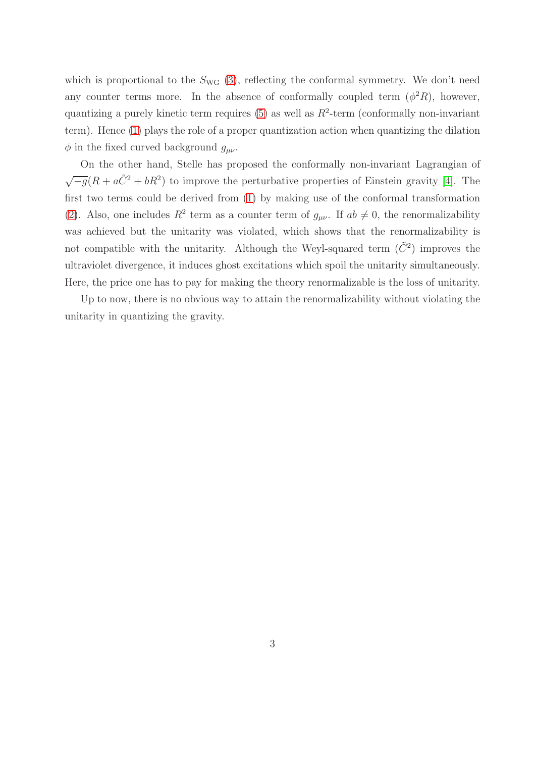which is proportional to the  $S_{\text{WG}}$  [\(3\)](#page-1-2), reflecting the conformal symmetry. We don't need any counter terms more. In the absence of conformally coupled term  $(\phi^2 R)$ , however, quantizing a purely kinetic term requires  $(5)$  as well as  $R^2$ -term (conformally non-invariant term). Hence [\(1\)](#page-1-0) plays the role of a proper quantization action when quantizing the dilation  $\phi$  in the fixed curved background  $g_{\mu\nu}$ .

On the other hand, Stelle has proposed the conformally non-invariant Lagrangian of  $\sqrt{-g}(R + a\tilde{C}^2 + bR^2)$  to improve the perturbative properties of Einstein gravity [\[4\]](#page-3-3). The first two terms could be derived from [\(1\)](#page-1-0) by making use of the conformal transformation [\(2\)](#page-1-4). Also, one includes  $R^2$  term as a counter term of  $g_{\mu\nu}$ . If  $ab \neq 0$ , the renormalizability was achieved but the unitarity was violated, which shows that the renormalizability is not compatible with the unitarity. Although the Weyl-squared term  $(\tilde{C}^2)$  improves the ultraviolet divergence, it induces ghost excitations which spoil the unitarity simultaneously. Here, the price one has to pay for making the theory renormalizable is the loss of unitarity.

Up to now, there is no obvious way to attain the renormalizability without violating the unitarity in quantizing the gravity.